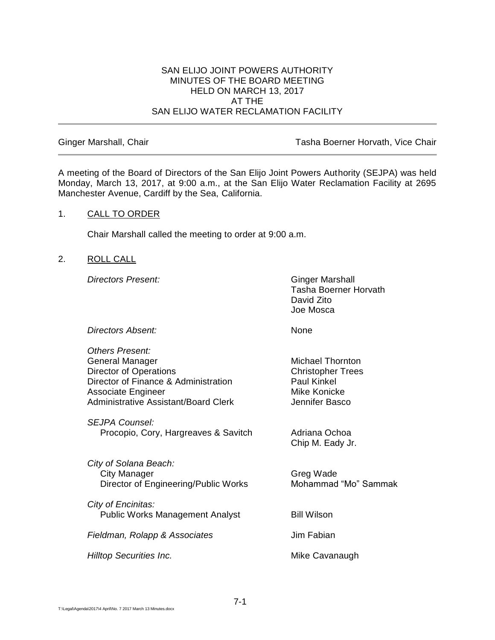#### SAN ELIJO JOINT POWERS AUTHORITY MINUTES OF THE BOARD MEETING HELD ON MARCH 13, 2017 AT THE SAN ELIJO WATER RECLAMATION FACILITY

Ginger Marshall, Chair **Tasha Boerner Horvath, Vice Chair** Tasha Boerner Horvath, Vice Chair

A meeting of the Board of Directors of the San Elijo Joint Powers Authority (SEJPA) was held Monday, March 13, 2017, at 9:00 a.m., at the San Elijo Water Reclamation Facility at 2695 Manchester Avenue, Cardiff by the Sea, California.

## 1. CALL TO ORDER

Chair Marshall called the meeting to order at 9:00 a.m.

#### 2. ROLL CALL

**Directors Present:** Ginger Marshall

Tasha Boerner Horvath David Zito Joe Mosca

**Directors Absent:** None

| Others Present:<br>General Manager<br><b>Director of Operations</b><br>Director of Finance & Administration<br><b>Associate Engineer</b><br>Administrative Assistant/Board Clerk | <b>Michael Thornton</b><br><b>Christopher Trees</b><br><b>Paul Kinkel</b><br>Mike Konicke<br>Jennifer Basco |
|----------------------------------------------------------------------------------------------------------------------------------------------------------------------------------|-------------------------------------------------------------------------------------------------------------|
| SEJPA Counsel:<br>Procopio, Cory, Hargreaves & Savitch                                                                                                                           | Adriana Ochoa<br>Chip M. Eady Jr.                                                                           |
| City of Solana Beach:<br>City Manager<br>Director of Engineering/Public Works                                                                                                    | Greg Wade<br>Mohammad "Mo" Sammak                                                                           |
| City of Encinitas:<br><b>Public Works Management Analyst</b>                                                                                                                     | <b>Bill Wilson</b>                                                                                          |
| Fieldman, Rolapp & Associates                                                                                                                                                    | Jim Fabian                                                                                                  |
| Hilltop Securities Inc.                                                                                                                                                          | Mike Cavanaugh                                                                                              |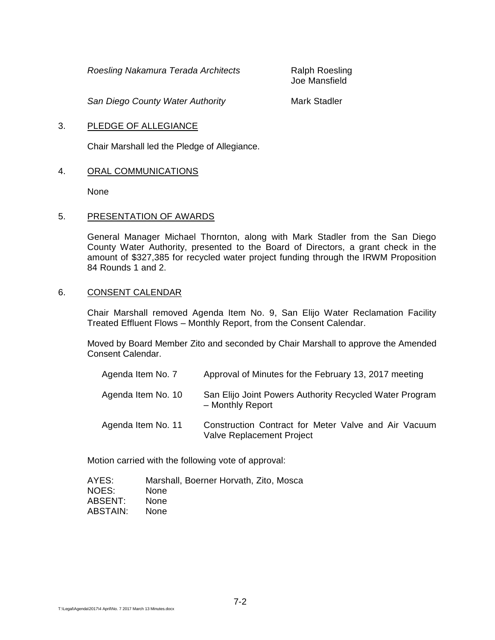*Roesling Nakamura Terada Architects* Ralph Roesling

Joe Mansfield

**San Diego County Water Authority Mark Stadler Mark Stadler** 

# 3. PLEDGE OF ALLEGIANCE

Chair Marshall led the Pledge of Allegiance.

# 4. ORAL COMMUNICATIONS

None

# 5. PRESENTATION OF AWARDS

General Manager Michael Thornton, along with Mark Stadler from the San Diego County Water Authority, presented to the Board of Directors, a grant check in the amount of \$327,385 for recycled water project funding through the IRWM Proposition 84 Rounds 1 and 2.

## 6. CONSENT CALENDAR

Chair Marshall removed Agenda Item No. 9, San Elijo Water Reclamation Facility Treated Effluent Flows – Monthly Report, from the Consent Calendar.

Moved by Board Member Zito and seconded by Chair Marshall to approve the Amended Consent Calendar.

| Agenda Item No. 7  | Approval of Minutes for the February 13, 2017 meeting                                    |
|--------------------|------------------------------------------------------------------------------------------|
| Agenda Item No. 10 | San Elijo Joint Powers Authority Recycled Water Program<br>- Monthly Report              |
| Agenda Item No. 11 | Construction Contract for Meter Valve and Air Vacuum<br><b>Valve Replacement Project</b> |

Motion carried with the following vote of approval:

| AYES:    | Marshall, Boerner Horvath, Zito, Mosca |
|----------|----------------------------------------|
| NOES:    | <b>None</b>                            |
| ABSENT:  | <b>None</b>                            |
| ABSTAIN: | <b>None</b>                            |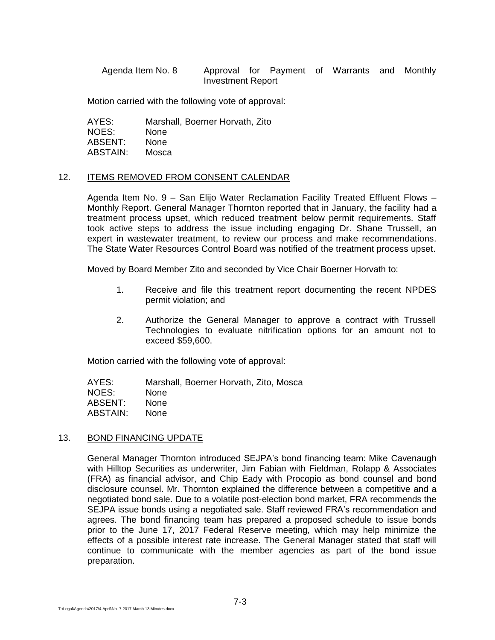Agenda Item No. 8 Approval for Payment of Warrants and Monthly Investment Report

Motion carried with the following vote of approval:

AYES: Marshall, Boerner Horvath, Zito NOES: None ABSENT: None ABSTAIN: Mosca

#### 12. ITEMS REMOVED FROM CONSENT CALENDAR

Agenda Item No. 9 – San Elijo Water Reclamation Facility Treated Effluent Flows – Monthly Report. General Manager Thornton reported that in January, the facility had a treatment process upset, which reduced treatment below permit requirements. Staff took active steps to address the issue including engaging Dr. Shane Trussell, an expert in wastewater treatment, to review our process and make recommendations. The State Water Resources Control Board was notified of the treatment process upset.

Moved by Board Member Zito and seconded by Vice Chair Boerner Horvath to:

- 1. Receive and file this treatment report documenting the recent NPDES permit violation; and
- 2. Authorize the General Manager to approve a contract with Trussell Technologies to evaluate nitrification options for an amount not to exceed \$59,600.

Motion carried with the following vote of approval:

AYES: Marshall, Boerner Horvath, Zito, Mosca NOES: None ABSENT: None ABSTAIN: None

#### 13. BOND FINANCING UPDATE

General Manager Thornton introduced SEJPA's bond financing team: Mike Cavenaugh with Hilltop Securities as underwriter, Jim Fabian with Fieldman, Rolapp & Associates (FRA) as financial advisor, and Chip Eady with Procopio as bond counsel and bond disclosure counsel. Mr. Thornton explained the difference between a competitive and a negotiated bond sale. Due to a volatile post-election bond market, FRA recommends the SEJPA issue bonds using a negotiated sale. Staff reviewed FRA's recommendation and agrees. The bond financing team has prepared a proposed schedule to issue bonds prior to the June 17, 2017 Federal Reserve meeting, which may help minimize the effects of a possible interest rate increase. The General Manager stated that staff will continue to communicate with the member agencies as part of the bond issue preparation.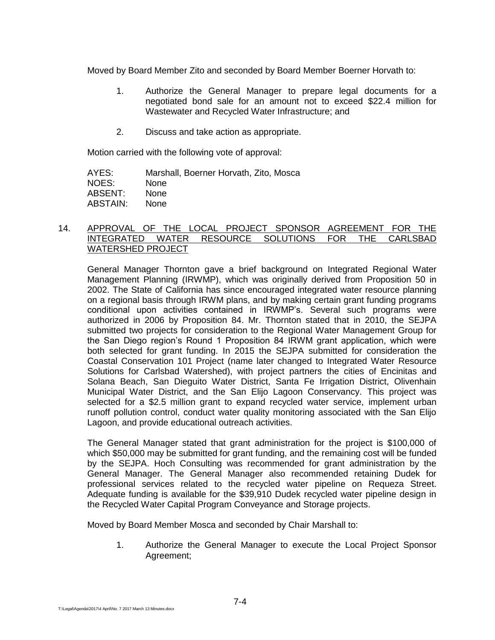Moved by Board Member Zito and seconded by Board Member Boerner Horvath to:

- 1. Authorize the General Manager to prepare legal documents for a negotiated bond sale for an amount not to exceed \$22.4 million for Wastewater and Recycled Water Infrastructure; and
- 2. Discuss and take action as appropriate.

Motion carried with the following vote of approval:

AYES: Marshall, Boerner Horvath, Zito, Mosca NOES: None ABSENT: None ABSTAIN: None

## 14. APPROVAL OF THE LOCAL PROJECT SPONSOR AGREEMENT FOR THE INTEGRATED WATER RESOURCE SOLUTIONS FOR THE CARLSBAD WATERSHED PROJECT

General Manager Thornton gave a brief background on Integrated Regional Water Management Planning (IRWMP), which was originally derived from Proposition 50 in 2002. The State of California has since encouraged integrated water resource planning on a regional basis through IRWM plans, and by making certain grant funding programs conditional upon activities contained in IRWMP's. Several such programs were authorized in 2006 by Proposition 84. Mr. Thornton stated that in 2010, the SEJPA submitted two projects for consideration to the Regional Water Management Group for the San Diego region's Round 1 Proposition 84 IRWM grant application, which were both selected for grant funding. In 2015 the SEJPA submitted for consideration the Coastal Conservation 101 Project (name later changed to Integrated Water Resource Solutions for Carlsbad Watershed), with project partners the cities of Encinitas and Solana Beach, San Dieguito Water District, Santa Fe Irrigation District, Olivenhain Municipal Water District, and the San Elijo Lagoon Conservancy. This project was selected for a \$2.5 million grant to expand recycled water service, implement urban runoff pollution control, conduct water quality monitoring associated with the San Elijo Lagoon, and provide educational outreach activities.

The General Manager stated that grant administration for the project is \$100,000 of which \$50,000 may be submitted for grant funding, and the remaining cost will be funded by the SEJPA. Hoch Consulting was recommended for grant administration by the General Manager. The General Manager also recommended retaining Dudek for professional services related to the recycled water pipeline on Requeza Street. Adequate funding is available for the \$39,910 Dudek recycled water pipeline design in the Recycled Water Capital Program Conveyance and Storage projects.

Moved by Board Member Mosca and seconded by Chair Marshall to:

1. Authorize the General Manager to execute the Local Project Sponsor Agreement;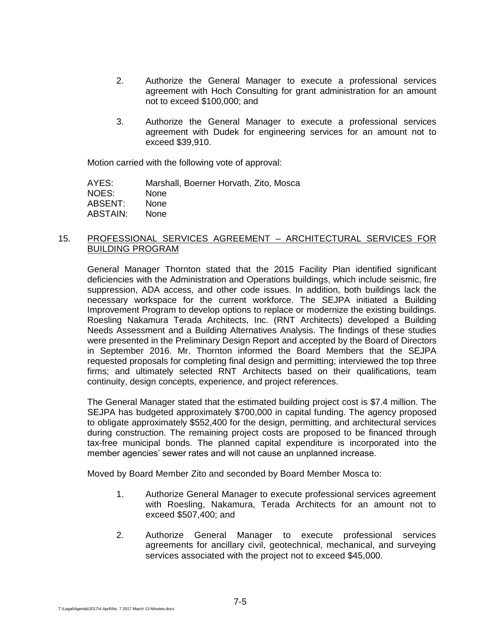- 2. Authorize the General Manager to execute a professional services agreement with Hoch Consulting for grant administration for an amount not to exceed \$100,000; and
- 3. Authorize the General Manager to execute a professional services agreement with Dudek for engineering services for an amount not to exceed \$39,910.

Motion carried with the following vote of approval:

| Marshall, Boerner Horvath, Zito, Mosca |
|----------------------------------------|
| <b>None</b>                            |
| <b>None</b>                            |
| <b>None</b>                            |
|                                        |

#### 15. PROFESSIONAL SERVICES AGREEMENT – ARCHITECTURAL SERVICES FOR BUILDING PROGRAM

General Manager Thornton stated that the 2015 Facility Plan identified significant deficiencies with the Administration and Operations buildings, which include seismic, fire suppression, ADA access, and other code issues. In addition, both buildings lack the necessary workspace for the current workforce. The SEJPA initiated a Building Improvement Program to develop options to replace or modernize the existing buildings. Roesling Nakamura Terada Architects, Inc. (RNT Architects) developed a Building Needs Assessment and a Building Alternatives Analysis. The findings of these studies were presented in the Preliminary Design Report and accepted by the Board of Directors in September 2016. Mr. Thornton informed the Board Members that the SEJPA requested proposals for completing final design and permitting; interviewed the top three firms; and ultimately selected RNT Architects based on their qualifications, team continuity, design concepts, experience, and project references.

The General Manager stated that the estimated building project cost is \$7.4 million. The SEJPA has budgeted approximately \$700,000 in capital funding. The agency proposed to obligate approximately \$552,400 for the design, permitting, and architectural services during construction. The remaining project costs are proposed to be financed through tax-free municipal bonds. The planned capital expenditure is incorporated into the member agencies' sewer rates and will not cause an unplanned increase.

Moved by Board Member Zito and seconded by Board Member Mosca to:

- 1. Authorize General Manager to execute professional services agreement with Roesling, Nakamura, Terada Architects for an amount not to exceed \$507,400; and
- 2. Authorize General Manager to execute professional services agreements for ancillary civil, geotechnical, mechanical, and surveying services associated with the project not to exceed \$45,000.